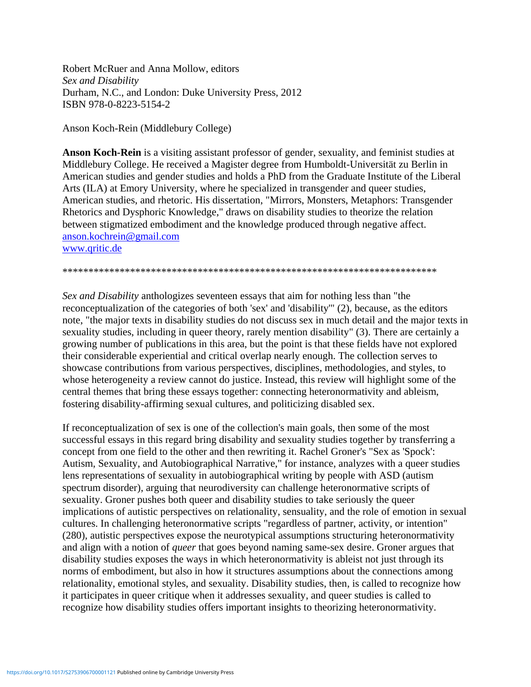Robert McRuer and Anna Mollow, editors Sex and Disability Durham, N.C., and London: Duke University Press, 2012 ISBN 978-0-8223-5154-2

Anson Koch-Rein (Middlebury College)

Anson Koch-Rein is a visiting assistant professor of gender, sexuality, and feminist studies at Middlebury College. He received a Magister degree from Humboldt-Universität zu Berlin in American studies and gender studies and holds a PhD from the Graduate Institute of the Liberal Arts (ILA) at Emory University, where he specialized in transgender and queer studies, American studies, and rhetoric. His dissertation, "Mirrors, Monsters, Metaphors: Transgender Rhetorics and Dysphoric Knowledge," draws on disability studies to theorize the relation between stigmatized embodiment and the knowledge produced through negative affect. anson.kochrein@gmail.com www.qritic.de

Sex and Disability anthologizes seventeen essays that aim for nothing less than "the reconceptualization of the categories of both 'sex' and 'disability'" (2), because, as the editors note, "the major texts in disability studies do not discuss sex in much detail and the major texts in sexuality studies, including in queer theory, rarely mention disability" (3). There are certainly a growing number of publications in this area, but the point is that these fields have not explored their considerable experiential and critical overlap nearly enough. The collection serves to showcase contributions from various perspectives, disciplines, methodologies, and styles, to whose heterogeneity a review cannot do justice. Instead, this review will highlight some of the central themes that bring these essays together: connecting heteronormativity and ableism, fostering disability-affirming sexual cultures, and politicizing disabled sex.

If reconceptualization of sex is one of the collection's main goals, then some of the most successful essays in this regard bring disability and sexuality studies together by transferring a concept from one field to the other and then rewriting it. Rachel Groner's "Sex as 'Spock': Autism, Sexuality, and Autobiographical Narrative," for instance, analyzes with a queer studies lens representations of sexuality in autobiographical writing by people with ASD (autism spectrum disorder), arguing that neurodiversity can challenge heteronormative scripts of sexuality. Groner pushes both queer and disability studies to take seriously the queer implications of autistic perspectives on relationality, sensuality, and the role of emotion in sexual cultures. In challenging heteronormative scripts "regardless of partner, activity, or intention" (280), autistic perspectives expose the neurotypical assumptions structuring heteronormativity and align with a notion of *queer* that goes beyond naming same-sex desire. Groner argues that disability studies exposes the ways in which heteronormativity is ableist not just through its norms of embodiment, but also in how it structures assumptions about the connections among relationality, emotional styles, and sexuality. Disability studies, then, is called to recognize how it participates in queer critique when it addresses sexuality, and queer studies is called to recognize how disability studies offers important insights to theorizing heteronormativity.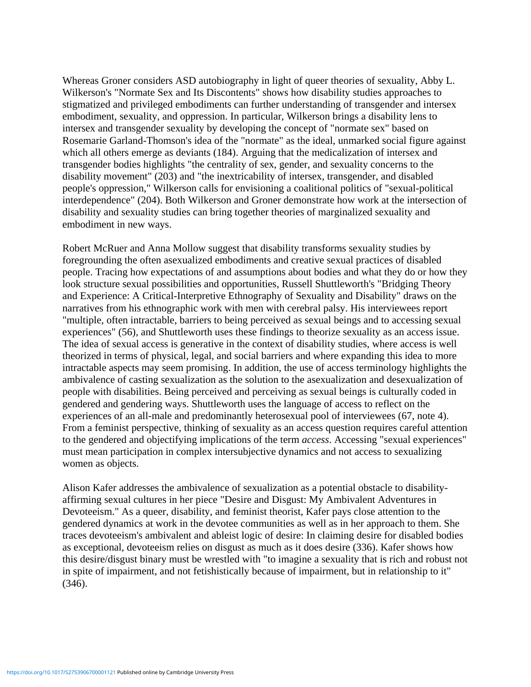Whereas Groner considers ASD autobiography in light of queer theories of sexuality, Abby L. Wilkerson's "Normate Sex and Its Discontents" shows how disability studies approaches to stigmatized and privileged embodiments can further understanding of transgender and intersex embodiment, sexuality, and oppression. In particular, Wilkerson brings a disability lens to intersex and transgender sexuality by developing the concept of "normate sex" based on Rosemarie Garland-Thomson's idea of the "normate" as the ideal, unmarked social figure against which all others emerge as deviants (184). Arguing that the medicalization of intersex and transgender bodies highlights "the centrality of sex, gender, and sexuality concerns to the disability movement" (203) and "the inextricability of intersex, transgender, and disabled people's oppression," Wilkerson calls for envisioning a coalitional politics of "sexual-political interdependence" (204). Both Wilkerson and Groner demonstrate how work at the intersection of disability and sexuality studies can bring together theories of marginalized sexuality and embodiment in new ways.

Robert McRuer and Anna Mollow suggest that disability transforms sexuality studies by foregrounding the often asexualized embodiments and creative sexual practices of disabled people. Tracing how expectations of and assumptions about bodies and what they do or how they look structure sexual possibilities and opportunities, Russell Shuttleworth's "Bridging Theory and Experience: A Critical-Interpretive Ethnography of Sexuality and Disability" draws on the narratives from his ethnographic work with men with cerebral palsy. His interviewees report "multiple, often intractable, barriers to being perceived as sexual beings and to accessing sexual experiences" (56), and Shuttleworth uses these findings to theorize sexuality as an access issue. The idea of sexual access is generative in the context of disability studies, where access is well theorized in terms of physical, legal, and social barriers and where expanding this idea to more intractable aspects may seem promising. In addition, the use of access terminology highlights the ambivalence of casting sexualization as the solution to the asexualization and desexualization of people with disabilities. Being perceived and perceiving as sexual beings is culturally coded in gendered and gendering ways. Shuttleworth uses the language of access to reflect on the experiences of an all-male and predominantly heterosexual pool of interviewees (67, note 4). From a feminist perspective, thinking of sexuality as an access question requires careful attention to the gendered and objectifying implications of the term *access*. Accessing "sexual experiences" must mean participation in complex intersubjective dynamics and not access to sexualizing women as objects.

Alison Kafer addresses the ambivalence of sexualization as a potential obstacle to disabilityaffirming sexual cultures in her piece "Desire and Disgust: My Ambivalent Adventures in Devoteeism." As a queer, disability, and feminist theorist, Kafer pays close attention to the gendered dynamics at work in the devotee communities as well as in her approach to them. She traces devoteeism's ambivalent and ableist logic of desire: In claiming desire for disabled bodies as exceptional, devoteeism relies on disgust as much as it does desire (336). Kafer shows how this desire/disgust binary must be wrestled with "to imagine a sexuality that is rich and robust not in spite of impairment, and not fetishistically because of impairment, but in relationship to it" (346).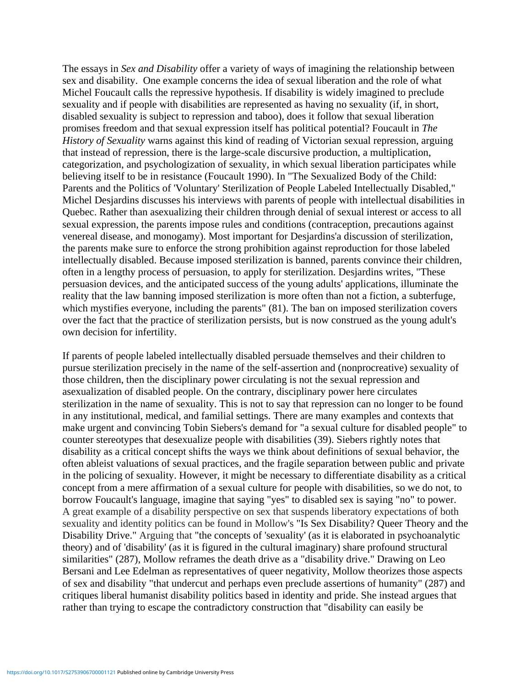The essays in *Sex and Disability* offer a variety of ways of imagining the relationship between sex and disability. One example concerns the idea of sexual liberation and the role of what Michel Foucault calls the repressive hypothesis. If disability is widely imagined to preclude sexuality and if people with disabilities are represented as having no sexuality (if, in short, disabled sexuality is subject to repression and taboo), does it follow that sexual liberation promises freedom and that sexual expression itself has political potential? Foucault in *The History of Sexuality* warns against this kind of reading of Victorian sexual repression, arguing that instead of repression, there is the large-scale discursive production, a multiplication, categorization, and psychologization of sexuality, in which sexual liberation participates while believing itself to be in resistance (Foucault 1990). In "The Sexualized Body of the Child: Parents and the Politics of 'Voluntary' Sterilization of People Labeled Intellectually Disabled," Michel Desjardins discusses his interviews with parents of people with intellectual disabilities in Quebec. Rather than asexualizing their children through denial of sexual interest or access to all sexual expression, the parents impose rules and conditions (contraception, precautions against venereal disease, and monogamy). Most important for Desjardins'a discussion of sterilization, the parents make sure to enforce the strong prohibition against reproduction for those labeled intellectually disabled. Because imposed sterilization is banned, parents convince their children, often in a lengthy process of persuasion, to apply for sterilization. Desjardins writes, "These persuasion devices, and the anticipated success of the young adults' applications, illuminate the reality that the law banning imposed sterilization is more often than not a fiction, a subterfuge, which mystifies everyone, including the parents" (81). The ban on imposed sterilization covers over the fact that the practice of sterilization persists, but is now construed as the young adult's own decision for infertility.

If parents of people labeled intellectually disabled persuade themselves and their children to pursue sterilization precisely in the name of the self-assertion and (nonprocreative) sexuality of those children, then the disciplinary power circulating is not the sexual repression and asexualization of disabled people. On the contrary, disciplinary power here circulates sterilization in the name of sexuality. This is not to say that repression can no longer to be found in any institutional, medical, and familial settings. There are many examples and contexts that make urgent and convincing Tobin Siebers's demand for "a sexual culture for disabled people" to counter stereotypes that desexualize people with disabilities (39). Siebers rightly notes that disability as a critical concept shifts the ways we think about definitions of sexual behavior, the often ableist valuations of sexual practices, and the fragile separation between public and private in the policing of sexuality. However, it might be necessary to differentiate disability as a critical concept from a mere affirmation of a sexual culture for people with disabilities, so we do not, to borrow Foucault's language, imagine that saying "yes" to disabled sex is saying "no" to power. A great example of a disability perspective on sex that suspends liberatory expectations of both sexuality and identity politics can be found in Mollow's "Is Sex Disability? Queer Theory and the Disability Drive." Arguing that "the concepts of 'sexuality' (as it is elaborated in psychoanalytic theory) and of 'disability' (as it is figured in the cultural imaginary) share profound structural similarities" (287), Mollow reframes the death drive as a "disability drive." Drawing on Leo Bersani and Lee Edelman as representatives of queer negativity, Mollow theorizes those aspects of sex and disability "that undercut and perhaps even preclude assertions of humanity" (287) and critiques liberal humanist disability politics based in identity and pride. She instead argues that rather than trying to escape the contradictory construction that "disability can easily be